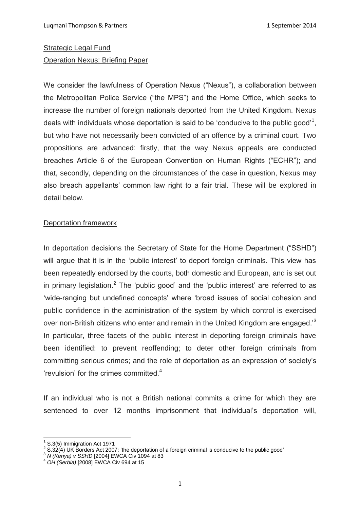# Strategic Legal Fund Operation Nexus: Briefing Paper

We consider the lawfulness of Operation Nexus ("Nexus"), a collaboration between the Metropolitan Police Service ("the MPS") and the Home Office, which seeks to increase the number of foreign nationals deported from the United Kingdom. Nexus deals with individuals whose deportation is said to be 'conducive to the public good'<sup>1</sup>, but who have not necessarily been convicted of an offence by a criminal court. Two propositions are advanced: firstly, that the way Nexus appeals are conducted breaches Article 6 of the European Convention on Human Rights ("ECHR"); and that, secondly, depending on the circumstances of the case in question, Nexus may also breach appellants' common law right to a fair trial. These will be explored in detail below.

### Deportation framework

In deportation decisions the Secretary of State for the Home Department ("SSHD") will argue that it is in the 'public interest' to deport foreign criminals. This view has been repeatedly endorsed by the courts, both domestic and European, and is set out in primary legislation.<sup>2</sup> The 'public good' and the 'public interest' are referred to as 'wide-ranging but undefined concepts' where 'broad issues of social cohesion and public confidence in the administration of the system by which control is exercised over non-British citizens who enter and remain in the United Kingdom are engaged.<sup>3</sup> In particular, three facets of the public interest in deporting foreign criminals have been identified: to prevent reoffending; to deter other foreign criminals from committing serious crimes; and the role of deportation as an expression of society's 'revulsion' for the crimes committed.<sup>4</sup>

If an individual who is not a British national commits a crime for which they are sentenced to over 12 months imprisonment that individual's deportation will,

<sup>1</sup> S.3(5) Immigration Act 1971

 $2$  S.32(4) UK Borders Act 2007: 'the deportation of a foreign criminal is conducive to the public good'

<sup>3</sup> *N (Kenya) v SSHD* [2004] EWCA Civ 1094 at 83

<sup>4</sup> *OH (Serbia)* [2008] EWCA Civ 694 at 15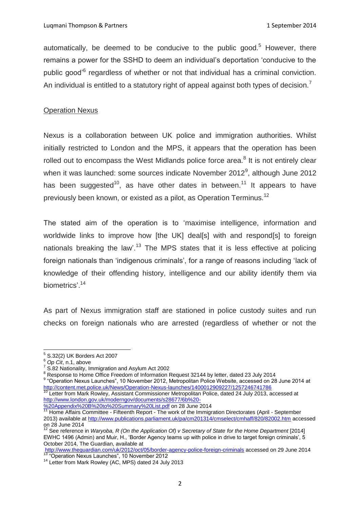automatically, be deemed to be conducive to the public good.<sup>5</sup> However, there remains a power for the SSHD to deem an individual's deportation 'conducive to the public good<sup>'6</sup> regardless of whether or not that individual has a criminal conviction. An individual is entitled to a statutory right of appeal against both types of decision.<sup>7</sup>

### Operation Nexus

Nexus is a collaboration between UK police and immigration authorities. Whilst initially restricted to London and the MPS, it appears that the operation has been rolled out to encompass the West Midlands police force area.<sup>8</sup> It is not entirely clear when it was launched: some sources indicate November 2012 $^9$ , although June 2012 has been suggested<sup>10</sup>, as have other dates in between.<sup>11</sup> It appears to have previously been known, or existed as a pilot, as Operation Terminus.<sup>12</sup>

The stated aim of the operation is to 'maximise intelligence, information and worldwide links to improve how [the UK] deal[s] with and respond[s] to foreign nationals breaking the law'.<sup>13</sup> The MPS states that it is less effective at policing foreign nationals than 'indigenous criminals', for a range of reasons including 'lack of knowledge of their offending history, intelligence and our ability identify them via biometrics'.<sup>14</sup>

As part of Nexus immigration staff are stationed in police custody suites and run checks on foreign nationals who are arrested (regardless of whether or not the

 5 S.32(2) UK Borders Act 2007

<sup>6</sup> *Op Cit*, n.1, above

 $7$  S.82 Nationality, Immigration and Asylum Act 2002

<sup>8</sup> Secreta Home of Freedom of Information Request 32144 by letter, dated 23 July 2014

<sup>&</sup>lt;sup>9</sup> "Operation Nexus Launches", 10 November 2012, Metropolitan Police Website, accessed on 28 June 2014 at <http://content.met.police.uk/News/Operation-Nexus-launches/1400012909227/1257246741786>

<sup>&</sup>lt;sup>10</sup> Letter from Mark Rowley, Assistant Commissioner Metropolitan Police, dated 24 July 2013, accessed at [http://www.london.gov.uk/moderngov/documents/s28677/6b%20-](http://www.london.gov.uk/moderngov/documents/s28677/6b%20-%20Appendix%20B%20to%20Summary%20List.pdf)

[<sup>%20</sup>Appendix%20B%20to%20Summary%20List.pdf](http://www.london.gov.uk/moderngov/documents/s28677/6b%20-%20Appendix%20B%20to%20Summary%20List.pdf) on 28 June 2014

<sup>11</sup> Home Affairs Committee - Fifteenth Report - The work of the Immigration Directorates (April - September 2013) available a[t http://www.publications.parliament.uk/pa/cm201314/cmselect/cmhaff/820/82002.htm](http://www.publications.parliament.uk/pa/cm201314/cmselect/cmhaff/820/82002.htm) accessed on 28 June 2014

<sup>12</sup> See reference in *Waryoba, R (On the Application Of) v Secretary of State for the Home Department* [2014] EWHC 1496 (Admin) and Muir, H., 'Border Agency teams up with police in drive to target foreign criminals', 5 October 2014, The Guardian, available at

<http://www.theguardian.com/uk/2012/oct/05/border-agency-police-foreign-criminals> accessed on 29 June 2014 <sup>13</sup> "Operation Nexus Launches", 10 November 2012

<sup>&</sup>lt;sup>14</sup> Letter from Mark Rowley (AC, MPS) dated 24 July 2013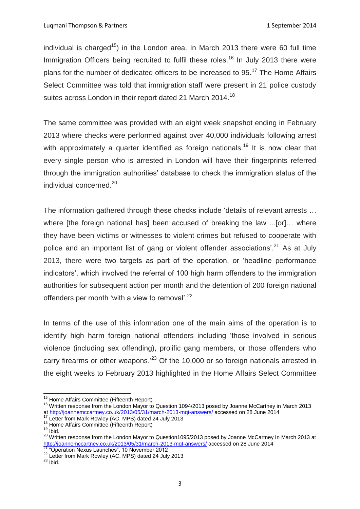individual is charged<sup>15</sup>) in the London area. In March 2013 there were 60 full time Immigration Officers being recruited to fulfil these roles.<sup>16</sup> In July 2013 there were plans for the number of dedicated officers to be increased to 95.<sup>17</sup> The Home Affairs Select Committee was told that immigration staff were present in 21 police custody suites across London in their report dated 21 March 2014.<sup>18</sup>

The same committee was provided with an eight week snapshot ending in February 2013 where checks were performed against over 40,000 individuals following arrest with approximately a quarter identified as foreign nationals.<sup>19</sup> It is now clear that every single person who is arrested in London will have their fingerprints referred through the immigration authorities' database to check the immigration status of the individual concerned.<sup>20</sup>

The information gathered through these checks include 'details of relevant arrests … where [the foreign national has] been accused of breaking the law ...[or]... where they have been victims or witnesses to violent crimes but refused to cooperate with police and an important list of gang or violent offender associations'.<sup>21</sup> As at July 2013, there were two targets as part of the operation, or 'headline performance indicators', which involved the referral of 100 high harm offenders to the immigration authorities for subsequent action per month and the detention of 200 foreign national offenders per month 'with a view to removal'. $^{22}$ 

In terms of the use of this information one of the main aims of the operation is to identify high harm foreign national offenders including 'those involved in serious violence (including sex offending), prolific gang members, or those offenders who carry firearms or other weapons.<sup>23</sup> Of the 10,000 or so foreign nationals arrested in the eight weeks to February 2013 highlighted in the Home Affairs Select Committee

<sup>&</sup>lt;sup>15</sup> Home Affairs Committee (Fifteenth Report)

<sup>16</sup> Written response from the London Mayor to Question 1094/2013 posed by Joanne McCartney in March 2013 at<http://joannemccartney.co.uk/2013/05/31/march-2013-mqt-answers/> accessed on 28 June 2014

<sup>&</sup>lt;sup>17</sup> Letter from Mark Rowley (AC, MPS) dated 24 July 2013

<sup>&</sup>lt;sup>18</sup> Home Affairs Committee (Fifteenth Report)

 $19$  Ibid.

<sup>20</sup> Written response from the London Mayor to Question1095/2013 posed by Joanne McCartney in March 2013 at <http://joannemccartney.co.uk/2013/05/31/march-2013-mqt-answers/> accessed on 28 June 2014

<sup>&</sup>lt;sup>21</sup> "Operation Nexus Launches", 10 November 2012

<sup>&</sup>lt;sup>22</sup> Letter from Mark Rowley (AC, MPS) dated 24 July 2013

 $23$  Ibid.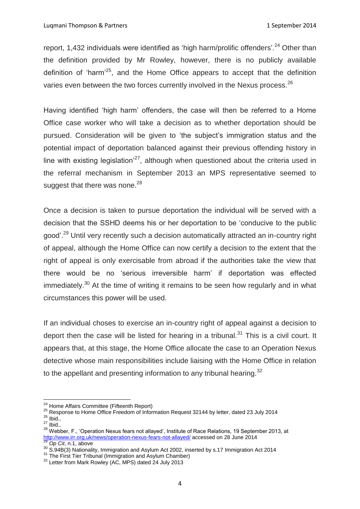report, 1,432 individuals were identified as 'high harm/prolific offenders'.<sup>24</sup> Other than the definition provided by Mr Rowley, however, there is no publicly available definition of 'harm'<sup>25</sup>, and the Home Office appears to accept that the definition varies even between the two forces currently involved in the Nexus process.<sup>26</sup>

Having identified 'high harm' offenders, the case will then be referred to a Home Office case worker who will take a decision as to whether deportation should be pursued. Consideration will be given to 'the subject's immigration status and the potential impact of deportation balanced against their previous offending history in line with existing legislation $^{27}$ , although when questioned about the criteria used in the referral mechanism in September 2013 an MPS representative seemed to suggest that there was none. $^{28}$ 

Once a decision is taken to pursue deportation the individual will be served with a decision that the SSHD deems his or her deportation to be 'conducive to the public good'.<sup>29</sup> Until very recently such a decision automatically attracted an in-country right of appeal, although the Home Office can now certify a decision to the extent that the right of appeal is only exercisable from abroad if the authorities take the view that there would be no 'serious irreversible harm' if deportation was effected immediately.<sup>30</sup> At the time of writing it remains to be seen how regularly and in what circumstances this power will be used.

If an individual choses to exercise an in-country right of appeal against a decision to deport then the case will be listed for hearing in a tribunal.<sup>31</sup> This is a civil court. It appears that, at this stage, the Home Office allocate the case to an Operation Nexus detective whose main responsibilities include liaising with the Home Office in relation to the appellant and presenting information to any tribunal hearing. $32$ 

 $\overline{\phantom{a}}$ <sup>24</sup> Home Affairs Committee (Fifteenth Report)

<sup>25</sup> Response to Home Office Freedom of Information Request 32144 by letter, dated 23 July 2014  $26$  Ibid.,

 $27$  Ibid.,

<sup>28</sup> Webber, F., 'Operation Nexus fears not allayed', Institute of Race Relations, 19 September 2013, at <http://www.irr.org.uk/news/operation-nexus-fears-not-allayed/> accessed on 28 June 2014

<sup>29</sup> *Op Cit*, n.1, above

<sup>30</sup> S.94B(3) Nationality, Immigration and Asylum Act 2002, inserted by s.17 Immigration Act 2014

<sup>&</sup>lt;sup>31</sup> The First Tier Tribunal (Immigration and Asylum Chamber)

<sup>&</sup>lt;sup>32</sup> Letter from Mark Rowley (AC, MPS) dated 24 July 2013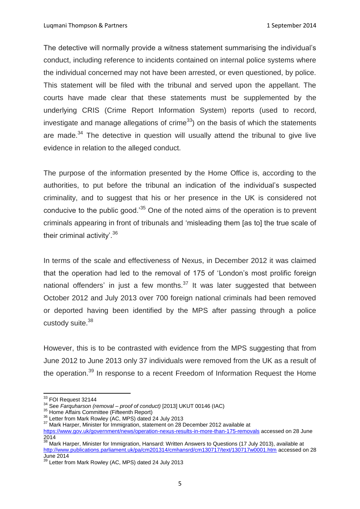The detective will normally provide a witness statement summarising the individual's conduct, including reference to incidents contained on internal police systems where the individual concerned may not have been arrested, or even questioned, by police. This statement will be filed with the tribunal and served upon the appellant. The courts have made clear that these statements must be supplemented by the underlying CRIS (Crime Report Information System) reports (used to record, investigate and manage allegations of crime<sup>33</sup>) on the basis of which the statements are made. $34$  The detective in question will usually attend the tribunal to give live evidence in relation to the alleged conduct.

The purpose of the information presented by the Home Office is, according to the authorities, to put before the tribunal an indication of the individual's suspected criminality, and to suggest that his or her presence in the UK is considered not conducive to the public good.<sup>35</sup> One of the noted aims of the operation is to prevent criminals appearing in front of tribunals and 'misleading them [as to] the true scale of their criminal activity'.<sup>36</sup>

In terms of the scale and effectiveness of Nexus, in December 2012 it was claimed that the operation had led to the removal of 175 of 'London's most prolific foreign national offenders' in just a few months. $37$  It was later suggested that between October 2012 and July 2013 over 700 foreign national criminals had been removed or deported having been identified by the MPS after passing through a police custody suite.<sup>38</sup>

However, this is to be contrasted with evidence from the MPS suggesting that from June 2012 to June 2013 only 37 individuals were removed from the UK as a result of the operation.<sup>39</sup> In response to a recent Freedom of Information Request the Home

 $33$  FOI Request 32144

<sup>34</sup> See *Farquharson (removal – proof of conduct)* [2013] UKUT 00146 (IAC)

<sup>&</sup>lt;sup>35</sup> Home Affairs Committee (Fifteenth Report)

<sup>&</sup>lt;sup>36</sup> Letter from Mark Rowley (AC, MPS) dated 24 July 2013

<sup>&</sup>lt;sup>37</sup> Mark Harper, Minister for Immigration, statement on 28 December 2012 available at

<https://www.gov.uk/government/news/operation-nexus-results-in-more-than-175-removals> accessed on 28 June 2014

<sup>38</sup> Mark Harper, Minister for Immigration, Hansard: Written Answers to Questions (17 July 2013), available at <http://www.publications.parliament.uk/pa/cm201314/cmhansrd/cm130717/text/130717w0001.htm> accessed on 28 June  $201\overline{4}$ 

Letter from Mark Rowley (AC, MPS) dated 24 July 2013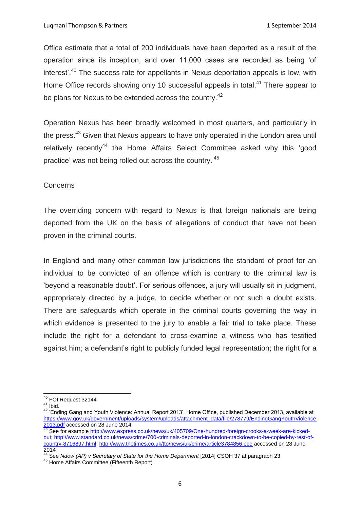Office estimate that a total of 200 individuals have been deported as a result of the operation since its inception, and over 11,000 cases are recorded as being 'of interest'.<sup>40</sup> The success rate for appellants in Nexus deportation appeals is low, with Home Office records showing only 10 successful appeals in total.<sup>41</sup> There appear to be plans for Nexus to be extended across the country.<sup>42</sup>

Operation Nexus has been broadly welcomed in most quarters, and particularly in the press.<sup>43</sup> Given that Nexus appears to have only operated in the London area until relatively recently<sup>44</sup> the Home Affairs Select Committee asked why this 'good practice' was not being rolled out across the country. <sup>45</sup>

# **Concerns**

The overriding concern with regard to Nexus is that foreign nationals are being deported from the UK on the basis of allegations of conduct that have not been proven in the criminal courts.

In England and many other common law jurisdictions the standard of proof for an individual to be convicted of an offence which is contrary to the criminal law is 'beyond a reasonable doubt'. For serious offences, a jury will usually sit in judgment, appropriately directed by a judge, to decide whether or not such a doubt exists. There are safeguards which operate in the criminal courts governing the way in which evidence is presented to the jury to enable a fair trial to take place. These include the right for a defendant to cross-examine a witness who has testified against him; a defendant's right to publicly funded legal representation; the right for a

 $\overline{a}$  $^{40}$  FOI Request 32144

 $41$  Ibid.

<sup>42 &#</sup>x27;Ending Gang and Youth Violence: Annual Report 2013', Home Office, published December 2013, available at [https://www.gov.uk/government/uploads/system/uploads/attachment\\_data/file/278779/EndingGangYouthViolence](https://www.gov.uk/government/uploads/system/uploads/attachment_data/file/278779/EndingGangYouthViolence2013.pdf) [2013.pdf](https://www.gov.uk/government/uploads/system/uploads/attachment_data/file/278779/EndingGangYouthViolence2013.pdf) accessed on 28 June 2014

<sup>43</sup> See for example [http://www.express.co.uk/news/uk/405709/One-hundred-foreign-crooks-a-week-are-kicked](http://www.express.co.uk/news/uk/405709/One-hundred-foreign-crooks-a-week-are-kicked-out)[out;](http://www.express.co.uk/news/uk/405709/One-hundred-foreign-crooks-a-week-are-kicked-out) [http://www.standard.co.uk/news/crime/700-criminals-deported-in-london-crackdown-to-be-copied-by-rest-of](http://www.standard.co.uk/news/crime/700-criminals-deported-in-london-crackdown-to-be-copied-by-rest-of-country-8716897.html)[country-8716897.html;](http://www.standard.co.uk/news/crime/700-criminals-deported-in-london-crackdown-to-be-copied-by-rest-of-country-8716897.html)<http://www.thetimes.co.uk/tto/news/uk/crime/article3784856.ece> accessed on 28 June 2014

<sup>44</sup> See *Ndow (AP) v Secretary of State for the Home Department* [2014] CSOH 37 at paragraph 23

<sup>45</sup> Home Affairs Committee (Fifteenth Report)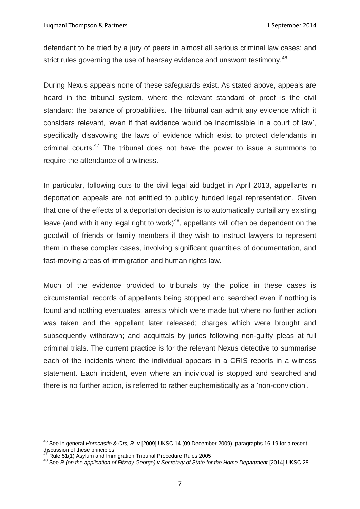defendant to be tried by a jury of peers in almost all serious criminal law cases; and strict rules governing the use of hearsay evidence and unsworn testimony.<sup>46</sup>

During Nexus appeals none of these safeguards exist. As stated above, appeals are heard in the tribunal system, where the relevant standard of proof is the civil standard: the balance of probabilities. The tribunal can admit any evidence which it considers relevant, 'even if that evidence would be inadmissible in a court of law', specifically disavowing the laws of evidence which exist to protect defendants in criminal courts. $47$  The tribunal does not have the power to issue a summons to require the attendance of a witness.

In particular, following cuts to the civil legal aid budget in April 2013, appellants in deportation appeals are not entitled to publicly funded legal representation. Given that one of the effects of a deportation decision is to automatically curtail any existing leave (and with it any legal right to work)<sup>48</sup>, appellants will often be dependent on the goodwill of friends or family members if they wish to instruct lawyers to represent them in these complex cases, involving significant quantities of documentation, and fast-moving areas of immigration and human rights law.

Much of the evidence provided to tribunals by the police in these cases is circumstantial: records of appellants being stopped and searched even if nothing is found and nothing eventuates; arrests which were made but where no further action was taken and the appellant later released; charges which were brought and subsequently withdrawn; and acquittals by juries following non-guilty pleas at full criminal trials. The current practice is for the relevant Nexus detective to summarise each of the incidents where the individual appears in a CRIS reports in a witness statement. Each incident, even where an individual is stopped and searched and there is no further action, is referred to rather euphemistically as a 'non-conviction'.

<sup>46</sup> See in general *Horncastle & Ors, R. v* [2009] UKSC 14 (09 December 2009), paragraphs 16-19 for a recent discussion of these principles

 $47$  Rule 51(1) Asylum and Immigration Tribunal Procedure Rules 2005

<sup>48</sup> See *R (on the application of Fitzroy George) v Secretary of State for the Home Department* [2014] UKSC 28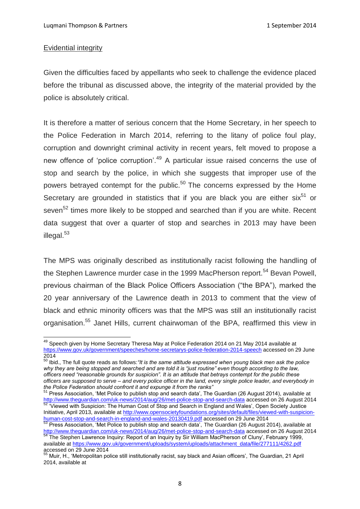#### Evidential integrity

 $\overline{a}$ 

Given the difficulties faced by appellants who seek to challenge the evidence placed before the tribunal as discussed above, the integrity of the material provided by the police is absolutely critical.

It is therefore a matter of serious concern that the Home Secretary, in her speech to the Police Federation in March 2014, referring to the litany of police foul play, corruption and downright criminal activity in recent years, felt moved to propose a new offence of 'police corruption'.<sup>49</sup> A particular issue raised concerns the use of stop and search by the police, in which she suggests that improper use of the powers betrayed contempt for the public.<sup>50</sup> The concerns expressed by the Home Secretary are grounded in statistics that if you are black you are either  $six^{51}$  or seven<sup>52</sup> times more likely to be stopped and searched than if you are white. Recent data suggest that over a quarter of stop and searches in 2013 may have been illegal. $53$ 

The MPS was originally described as institutionally racist following the handling of the Stephen Lawrence murder case in the 1999 MacPherson report.<sup>54</sup> Bevan Powell, previous chairman of the Black Police Officers Association ("the BPA"), marked the 20 year anniversary of the Lawrence death in 2013 to comment that the view of black and ethnic minority officers was that the MPS was still an institutionally racist organisation.<sup>55</sup> Janet Hills, current chairwoman of the BPA, reaffirmed this view in

<sup>51</sup> Press Association, 'Met Police to publish stop and search data', The Guardian (26 August 2014), available at <http://www.theguardian.com/uk-news/2014/aug/26/met-police-stop-and-search-data> accessed on 26 August 2014 <sup>52</sup> 'Viewed with Suspicion: The Human Cost of Stop and Search in England and Wales', Open Society Justice Initiative, April 2013, available at [http://www.opensocietyfoundations.org/sites/default/files/viewed-with-suspicion](http://www.opensocietyfoundations.org/sites/default/files/viewed-with-suspicion-human-cost-stop-and-search-in-england-and-wales-20130419.pdf)[human-cost-stop-and-search-in-england-and-wales-20130419.pdf](http://www.opensocietyfoundations.org/sites/default/files/viewed-with-suspicion-human-cost-stop-and-search-in-england-and-wales-20130419.pdf) accessed on 29 June 2014

<sup>&</sup>lt;sup>49</sup> Speech given by Home Secretary Theresa May at Police Federation 2014 on 21 May 2014 available at <https://www.gov.uk/government/speeches/home-secretarys-police-federation-2014-speech> accessed on 29 June 2014

<sup>50</sup> Ibid., The full quote reads as follows:*"It is the same attitude expressed when young black men ask the police why they are being stopped and searched and are told it is "just routine" even though according to the law, officers need "reasonable grounds for suspicion". It is an attitude that betrays contempt for the public these officers are supposed to serve – and every police officer in the land, every single police leader, and everybody in the Police Federation should confront it and expunge it from the ranks"*

<sup>&</sup>lt;sup>53</sup> Press Association, 'Met Police to publish stop and search data', The Guardian (26 August 2014), available at <http://www.theguardian.com/uk-news/2014/aug/26/met-police-stop-and-search-data> accessed on 26 August 2014

<sup>&</sup>lt;sup>54</sup> The Stephen Lawrence Inquiry: Report of an Inquiry by Sir William MacPherson of Cluny', February 1999, available at [https://www.gov.uk/government/uploads/system/uploads/attachment\\_data/file/277111/4262.pdf](https://www.gov.uk/government/uploads/system/uploads/attachment_data/file/277111/4262.pdf) accessed on 29 June 2014

<sup>&</sup>lt;sup>55</sup> Muir, H., 'Metropolitan police still institutionally racist, say black and Asian officers', The Guardian, 21 April 2014, available at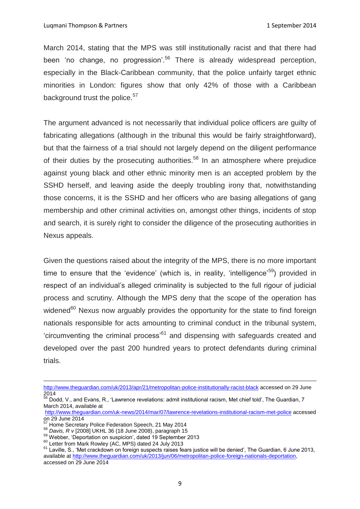March 2014, stating that the MPS was still institutionally racist and that there had been 'no change, no progression'.<sup>56</sup> There is already widespread perception, especially in the Black-Caribbean community, that the police unfairly target ethnic minorities in London: figures show that only 42% of those with a Caribbean background trust the police.<sup>57</sup>

The argument advanced is not necessarily that individual police officers are guilty of fabricating allegations (although in the tribunal this would be fairly straightforward), but that the fairness of a trial should not largely depend on the diligent performance of their duties by the prosecuting authorities.<sup>58</sup> In an atmosphere where prejudice against young black and other ethnic minority men is an accepted problem by the SSHD herself, and leaving aside the deeply troubling irony that, notwithstanding those concerns, it is the SSHD and her officers who are basing allegations of gang membership and other criminal activities on, amongst other things, incidents of stop and search, it is surely right to consider the diligence of the prosecuting authorities in Nexus appeals.

Given the questions raised about the integrity of the MPS, there is no more important time to ensure that the 'evidence' (which is, in reality, 'intelligence'<sup>59</sup>) provided in respect of an individual's alleged criminality is subjected to the full rigour of judicial process and scrutiny. Although the MPS deny that the scope of the operation has widened $60$  Nexus now arguably provides the opportunity for the state to find foreign nationals responsible for acts amounting to criminal conduct in the tribunal system, 'circumventing the criminal process'<sup>61</sup> and dispensing with safeguards created and developed over the past 200 hundred years to protect defendants during criminal trials.

<http://www.theguardian.com/uk/2013/apr/21/metropolitan-police-institutionally-racist-black> accessed on 29 June 2014

<sup>&</sup>lt;sup>56</sup> Dodd, V., and Evans, R., 'Lawrence revelations: admit institutional racism, Met chief told', The Guardian, 7 March 2014, available at

<http://www.theguardian.com/uk-news/2014/mar/07/lawrence-revelations-institutional-racism-met-police> accessed on 29 June 2014

<sup>&</sup>lt;sup>57</sup> Home Secretary Police Federation Speech, 21 May 2014

<sup>58</sup> *Davis, R v* [2008] UKHL 36 (18 June 2008), paragraph 15

<sup>59</sup> Webber, 'Deportation on suspicion', dated 19 September 2013

<sup>&</sup>lt;sup>60</sup> Letter from Mark Rowley (AC, MPS) dated 24 July 2013

<sup>&</sup>lt;sup>61</sup> Laville, S., 'Met crackdown on foreign suspects raises fears justice will be denied', The Guardian, 6 June 2013, available at [http://www.theguardian.com/uk/2013/jun/06/metropolitan-police-foreign-nationals-deportation,](http://www.theguardian.com/uk/2013/jun/06/metropolitan-police-foreign-nationals-deportation)  accessed on 29 June 2014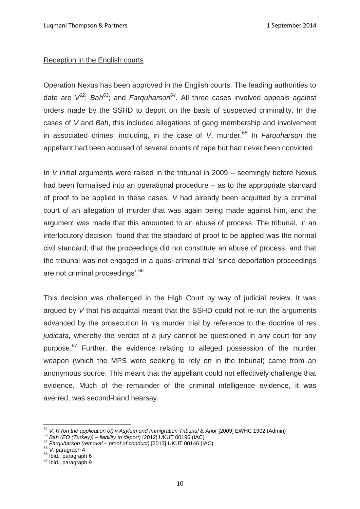### Reception in the English courts

Operation Nexus has been approved in the English courts. The leading authorities to date are *V <sup>62</sup>*; *Bah<sup>63</sup>*; and *Farquharson<sup>64</sup>*. All three cases involved appeals against orders made by the SSHD to deport on the basis of suspected criminality. In the cases of *V* and *Bah*, this included allegations of gang membership and involvement in associated crimes, including, in the case of *V*, murder.<sup>65</sup> In *Farguharson* the appellant had been accused of several counts of rape but had never been convicted.

In *V* initial arguments were raised in the tribunal in 2009 – seemingly before Nexus had been formalised into an operational procedure – as to the appropriate standard of proof to be applied in these cases. *V* had already been acquitted by a criminal court of an allegation of murder that was again being made against him, and the argument was made that this amounted to an abuse of process. The tribunal, in an interlocutory decision, found that the standard of proof to be applied was the normal civil standard; that the proceedings did not constitute an abuse of process; and that the tribunal was not engaged in a quasi-criminal trial 'since deportation proceedings are not criminal proceedings'.<sup>66</sup>

This decision was challenged in the High Court by way of judicial review. It was argued by *V* that his acquittal meant that the SSHD could not re-run the arguments advanced by the prosecution in his murder trial by reference to the doctrine of *res judicata*, whereby the verdict of a jury cannot be questioned in any court for any purpose.<sup>67</sup> Further, the evidence relating to alleged possession of the murder weapon (which the MPS were seeking to rely on in the tribunal) came from an anonymous source. This meant that the appellant could not effectively challenge that evidence. Much of the remainder of the criminal intelligence evidence, it was averred, was second-hand hearsay.

 $\overline{a}$ <sup>62</sup> V, R (on the application of) v Asylum and Immigration Tribunal & Anor [2009] EWHC 1902 (Admin)

<sup>63</sup> *Bah (EO (Turkey)) – liability to deport)* [2012] UKUT 00196 (IAC)

<sup>64</sup> *Farquharson (removal – proof of conduct)* [2013] UKUT 00146 (IAC)

<sup>65</sup> *V,* paragraph 4

<sup>&</sup>lt;sup>66</sup> Ibid., paragraph 6

 $67$  Ibid., paragraph 9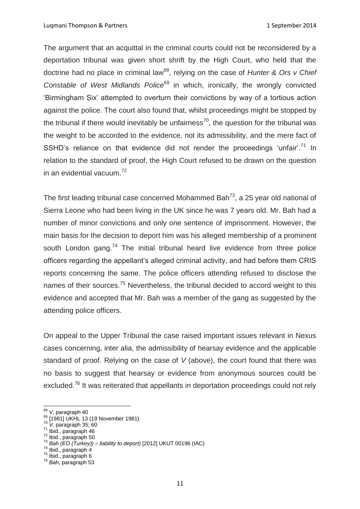Luqmani Thompson & Partners 1 September 2014

The argument that an acquittal in the criminal courts could not be reconsidered by a deportation tribunal was given short shrift by the High Court, who held that the doctrine had no place in criminal law<sup>68</sup>, relying on the case of *Hunter & Ors v Chief Constable of West Midlands Police*<sup>69</sup> in which, ironically, the wrongly convicted 'Birmingham Six' attempted to overturn their convictions by way of a tortious action against the police. The court also found that, whilst proceedings might be stopped by the tribunal if there would inevitably be unfairness<sup>70</sup>, the question for the tribunal was the weight to be accorded to the evidence, not its admissibility, and the mere fact of SSHD's reliance on that evidence did not render the proceedings 'unfair'.<sup>71</sup> In relation to the standard of proof, the High Court refused to be drawn on the question in an evidential vacuum.<sup>72</sup>

The first leading tribunal case concerned Mohammed Bah<sup>73</sup>, a 25 year old national of Sierra Leone who had been living in the UK since he was 7 years old. Mr. Bah had a number of minor convictions and only one sentence of imprisonment. However, the main basis for the decision to deport him was his alleged membership of a prominent south London gang.<sup>74</sup> The initial tribunal heard live evidence from three police officers regarding the appellant's alleged criminal activity, and had before them CRIS reports concerning the same. The police officers attending refused to disclose the names of their sources.<sup>75</sup> Nevertheless, the tribunal decided to accord weight to this evidence and accepted that Mr. Bah was a member of the gang as suggested by the attending police officers.

On appeal to the Upper Tribunal the case raised important issues relevant in Nexus cases concerning, inter alia, the admissibility of hearsay evidence and the applicable standard of proof. Relying on the case of *V* (above), the court found that there was no basis to suggest that hearsay or evidence from anonymous sources could be excluded.<sup>76</sup> It was reiterated that appellants in deportation proceedings could not rely

 $\frac{74}{10}$  Ibid., paragraph 4

**<sup>.</sup>** <sup>68</sup> *V*, paragraph 40

<sup>&</sup>lt;sup>69</sup> [1981] UKHL 13 (19 November 1981)

<sup>70</sup> *V,* paragraph 35; 60

 $71$  lbid., paragraph 46

 $72$  Ibid., paragraph 50

<sup>73</sup> *Bah (EO (Turkey)) – liability to deport)* [2012] UKUT 00196 (IAC)

<sup>75</sup> Ibid., paragraph 6

<sup>76</sup> *Bah*, paragraph 53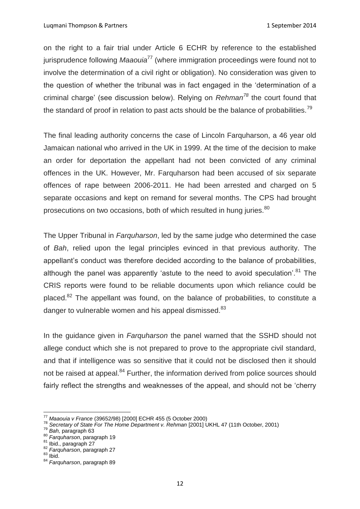on the right to a fair trial under Article 6 ECHR by reference to the established jurisprudence following *Maaouia*<sup>77</sup> (where immigration proceedings were found not to involve the determination of a civil right or obligation). No consideration was given to the question of whether the tribunal was in fact engaged in the 'determination of a criminal charge' (see discussion below). Relying on *Rehman<sup>78</sup>* the court found that the standard of proof in relation to past acts should be the balance of probabilities.<sup>79</sup>

The final leading authority concerns the case of Lincoln Farquharson, a 46 year old Jamaican national who arrived in the UK in 1999. At the time of the decision to make an order for deportation the appellant had not been convicted of any criminal offences in the UK. However, Mr. Farquharson had been accused of six separate offences of rape between 2006-2011. He had been arrested and charged on 5 separate occasions and kept on remand for several months. The CPS had brought prosecutions on two occasions, both of which resulted in hung juries.<sup>80</sup>

The Upper Tribunal in *Farquharson*, led by the same judge who determined the case of *Bah*, relied upon the legal principles evinced in that previous authority. The appellant's conduct was therefore decided according to the balance of probabilities, although the panel was apparently 'astute to the need to avoid speculation'.<sup>81</sup> The CRIS reports were found to be reliable documents upon which reliance could be placed.<sup>82</sup> The appellant was found, on the balance of probabilities, to constitute a danger to vulnerable women and his appeal dismissed.<sup>83</sup>

In the guidance given in *Farquharson* the panel warned that the SSHD should not allege conduct which she is not prepared to prove to the appropriate civil standard, and that if intelligence was so sensitive that it could not be disclosed then it should not be raised at appeal.<sup>84</sup> Further, the information derived from police sources should fairly reflect the strengths and weaknesses of the appeal, and should not be 'cherry

 $\overline{\phantom{a}}$ <sup>77</sup> *Maaouia v France* (39652/98) [2000] ECHR 455 (5 October 2000)

<sup>78</sup> *Secretary of State For The Home Department v. Rehman* [2001] UKHL 47 (11th October, 2001)

<sup>79</sup> *Bah,* paragraph 63

<sup>80</sup> *Farquharson*, paragraph 19

<sup>81</sup> Ibid., paragraph 27

<sup>82</sup> *Farquharson*, paragraph 27

 $83$  Ibid.

<sup>84</sup> *Farquharson*, paragraph 89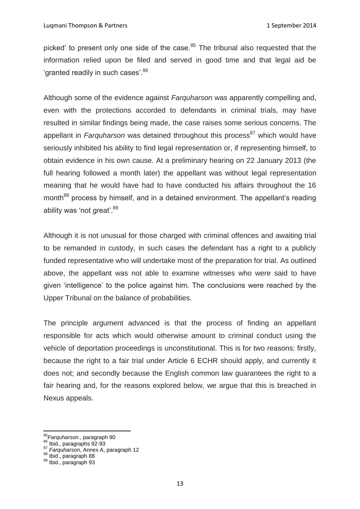picked' to present only one side of the case. $85$  The tribunal also requested that the information relied upon be filed and served in good time and that legal aid be 'granted readily in such cases'.<sup>86</sup>

Although some of the evidence against *Farquharson* was apparently compelling and, even with the protections accorded to defendants in criminal trials, may have resulted in similar findings being made, the case raises some serious concerns. The appellant in *Farquharson* was detained throughout this process<sup>87</sup> which would have seriously inhibited his ability to find legal representation or, if representing himself, to obtain evidence in his own cause. At a preliminary hearing on 22 January 2013 (the full hearing followed a month later) the appellant was without legal representation meaning that he would have had to have conducted his affairs throughout the 16 month<sup>88</sup> process by himself, and in a detained environment. The appellant's reading ability was 'not great'.<sup>89</sup>

Although it is not unusual for those charged with criminal offences and awaiting trial to be remanded in custody, in such cases the defendant has a right to a publicly funded representative who will undertake most of the preparation for trial. As outlined above, the appellant was not able to examine witnesses who were said to have given 'intelligence' to the police against him. The conclusions were reached by the Upper Tribunal on the balance of probabilities.

The principle argument advanced is that the process of finding an appellant responsible for acts which would otherwise amount to criminal conduct using the vehicle of deportation proceedings is unconstitutional. This is for two reasons: firstly, because the right to a fair trial under Article 6 ECHR should apply, and currently it does not; and secondly because the English common law guarantees the right to a fair hearing and, for the reasons explored below, we argue that this is breached in Nexus appeals.

 $\overline{\phantom{a}}$ 

<sup>85</sup>*Farquharson*., paragraph 90

Farywraison., paragraphs 92-93

<sup>87</sup> *Farquharson*, Annex A, paragraph 12

<sup>88</sup> Ibid., paragraph 88

<sup>89</sup> Ibid., paragraph 93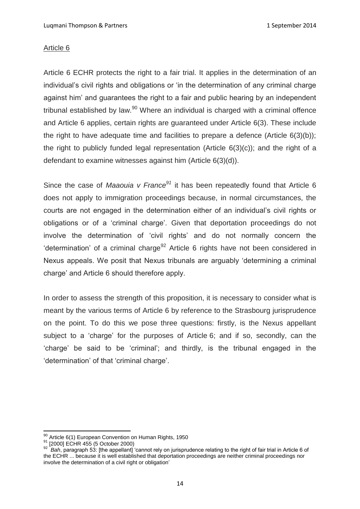## Article 6

Article 6 ECHR protects the right to a fair trial. It applies in the determination of an individual's civil rights and obligations or 'in the determination of any criminal charge against him' and guarantees the right to a fair and public hearing by an independent tribunal established by law. $90$  Where an individual is charged with a criminal offence and Article 6 applies, certain rights are guaranteed under Article 6(3). These include the right to have adequate time and facilities to prepare a defence (Article 6(3)(b)); the right to publicly funded legal representation (Article  $6(3)(c)$ ); and the right of a defendant to examine witnesses against him (Article 6(3)(d)).

Since the case of *Maaouia v France<sup>91</sup>* it has been repeatedly found that Article 6 does not apply to immigration proceedings because, in normal circumstances, the courts are not engaged in the determination either of an individual's civil rights or obligations or of a 'criminal charge'. Given that deportation proceedings do not involve the determination of 'civil rights' and do not normally concern the 'determination' of a criminal charge<sup>92</sup> Article 6 rights have not been considered in Nexus appeals. We posit that Nexus tribunals are arguably 'determining a criminal charge' and Article 6 should therefore apply.

In order to assess the strength of this proposition, it is necessary to consider what is meant by the various terms of Article 6 by reference to the Strasbourg jurisprudence on the point. To do this we pose three questions: firstly, is the Nexus appellant subject to a 'charge' for the purposes of Article 6; and if so, secondly, can the 'charge' be said to be 'criminal'; and thirdly, is the tribunal engaged in the 'determination' of that 'criminal charge'.

 $\overline{\phantom{a}}$ 

 $\frac{90}{90}$  Article 6(1) European Convention on Human Rights, 1950

<sup>91 [2000]</sup> ECHR 455 (5 October 2000)

<sup>92</sup> *Bah*, paragraph 53: [the appellant] 'cannot rely on jurisprudence relating to the right of fair trial in Article 6 of the ECHR ... because it is well established that deportation proceedings are neither criminal proceedings nor involve the determination of a civil right or obligation'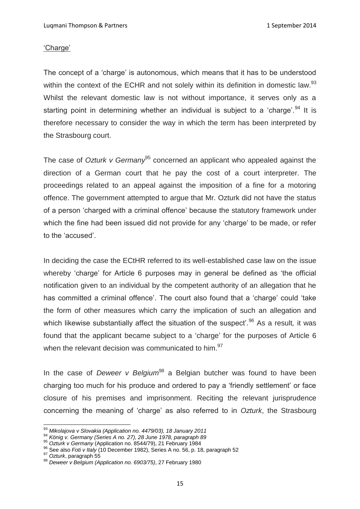### 'Charge'

The concept of a 'charge' is autonomous, which means that it has to be understood within the context of the ECHR and not solely within its definition in domestic law.<sup>93</sup> Whilst the relevant domestic law is not without importance, it serves only as a starting point in determining whether an individual is subject to a 'charge'.<sup>94</sup> It is therefore necessary to consider the way in which the term has been interpreted by the Strasbourg court.

The case of *Ozturk v Germany*<sup>95</sup> concerned an applicant who appealed against the direction of a German court that he pay the cost of a court interpreter. The proceedings related to an appeal against the imposition of a fine for a motoring offence. The government attempted to argue that Mr. Ozturk did not have the status of a person 'charged with a criminal offence' because the statutory framework under which the fine had been issued did not provide for any 'charge' to be made, or refer to the 'accused'.

In deciding the case the ECtHR referred to its well-established case law on the issue whereby 'charge' for Article 6 purposes may in general be defined as 'the official notification given to an individual by the competent authority of an allegation that he has committed a criminal offence'. The court also found that a 'charge' could 'take the form of other measures which carry the implication of such an allegation and which likewise substantially affect the situation of the suspect'*.* <sup>96</sup> As a result*,* it was found that the applicant became subject to a 'charge' for the purposes of Article 6 when the relevant decision was communicated to him.<sup>97</sup>

In the case of *Deweer v Belgium*<sup>98</sup> a Belgian butcher was found to have been charging too much for his produce and ordered to pay a 'friendly settlement' or face closure of his premises and imprisonment. Reciting the relevant jurisprudence concerning the meaning of 'charge' as also referred to in *Ozturk*, the Strasbourg

 $\overline{a}$ <sup>93</sup> *Mikolajova v Slovakia (Application no. 4479/03), 18 January 2011*

<sup>94</sup> *König v. Germany (Series A no. 27), 28 June 1978, paragraph 89*

<sup>95</sup> *Ozturk v Germany* (Application no. 8544/79), 21 February 1984

<sup>96</sup> See also *Foti v Italy* (10 December 1982), Series A no. 56, p. 18, paragraph 52

<sup>97</sup> *Ozturk*, paragraph 55

<sup>98</sup> *Deweer v Belgium (Application no. 6903/75)*, 27 February 1980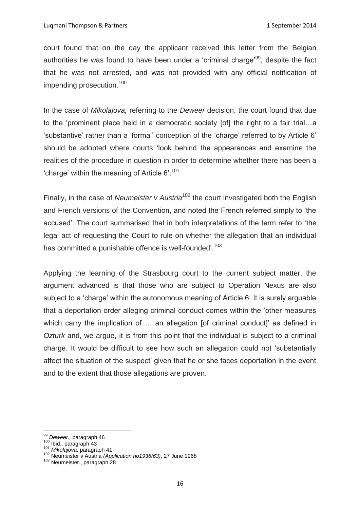court found that on the day the applicant received this letter from the Belgian authorities he was found to have been under a 'criminal charge'<sup>99</sup>, despite the fact that he was not arrested, and was not provided with any official notification of impending prosecution.<sup>100</sup>

In the case of *Mikolajova,* referring to the *Deweer* decision, the court found that due to the 'prominent place held in a democratic society [of] the right to a fair trial…a 'substantive' rather than a 'formal' conception of the 'charge' referred to by Article 6' should be adopted where courts 'look behind the appearances and examine the realities of the procedure in question in order to determine whether there has been a 'charge' within the meaning of Article 6'.<sup>101</sup>

Finally, in the case of *Neumeister v Austria*<sup>102</sup> the court investigated both the English and French versions of the Convention, and noted the French referred simply to 'the accused'. The court summarised that in both interpretations of the term refer to 'the legal act of requesting the Court to rule on whether the allegation that an individual has committed a punishable offence is well-founded'.<sup>103</sup>

Applying the learning of the Strasbourg court to the current subject matter, the argument advanced is that those who are subject to Operation Nexus are also subject to a 'charge' within the autonomous meaning of Article 6. It is surely arguable that a deportation order alleging criminal conduct comes within the 'other measures which carry the implication of ... an allegation [of criminal conduct]' as defined in *Ozturk* and, we argue, it is from this point that the individual is subject to a criminal charge. It would be difficult to see how such an allegation could not 'substantially affect the situation of the suspect' given that he or she faces deportation in the event and to the extent that those allegations are proven.

 $\overline{\phantom{a}}$ 

<sup>99</sup> *Deweer*.*,* paragraph 46

 $\frac{Dewcon, paragraph}{100}$  Ibid., paragraph 43

<sup>101</sup> *Mikolajova*, paragraph 41

<sup>102</sup> Neumeister v Austria *(Application no1936/63)*, 27 June 1968

<sup>103</sup> Neumeister., paragraph 28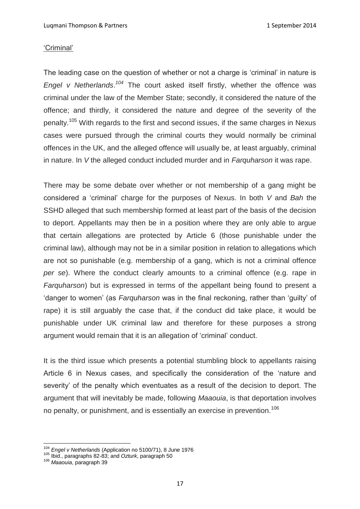#### 'Criminal'

The leading case on the question of whether or not a charge is 'criminal' in nature is *Engel v Netherlands*. *<sup>104</sup>* The court asked itself firstly, whether the offence was criminal under the law of the Member State; secondly, it considered the nature of the offence; and thirdly, it considered the nature and degree of the severity of the penalty.<sup>105</sup> With regards to the first and second issues, if the same charges in Nexus cases were pursued through the criminal courts they would normally be criminal offences in the UK, and the alleged offence will usually be, at least arguably, criminal in nature. In *V* the alleged conduct included murder and in *Farquharson* it was rape.

There may be some debate over whether or not membership of a gang might be considered a 'criminal' charge for the purposes of Nexus. In both *V* and *Bah* the SSHD alleged that such membership formed at least part of the basis of the decision to deport. Appellants may then be in a position where they are only able to argue that certain allegations are protected by Article 6 (those punishable under the criminal law), although may not be in a similar position in relation to allegations which are not so punishable (e.g. membership of a gang, which is not a criminal offence *per se*). Where the conduct clearly amounts to a criminal offence (e.g. rape in *Farquharson*) but is expressed in terms of the appellant being found to present a 'danger to women' (as *Farquharson* was in the final reckoning, rather than 'guilty' of rape) it is still arguably the case that, if the conduct did take place, it would be punishable under UK criminal law and therefore for these purposes a strong argument would remain that it is an allegation of 'criminal' conduct.

It is the third issue which presents a potential stumbling block to appellants raising Article 6 in Nexus cases, and specifically the consideration of the 'nature and severity' of the penalty which eventuates as a result of the decision to deport. The argument that will inevitably be made, following *Maaouia*, is that deportation involves no penalty, or punishment, and is essentially an exercise in prevention.<sup>106</sup>

<sup>104</sup> *Engel v Netherlands* (Application no 5100/71), 8 June 1976

<sup>105</sup> Ibid., paragraphs 82-83; and *Ozturk*, paragraph 50

<sup>106</sup> *Maaouia*, paragraph 39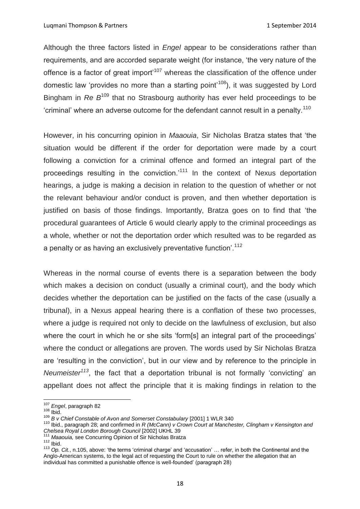Luqmani Thompson & Partners 1 September 2014

Although the three factors listed in *Engel* appear to be considerations rather than requirements, and are accorded separate weight (for instance, 'the very nature of the offence is a factor of great import<sup> $107$ </sup> whereas the classification of the offence under domestic law 'provides no more than a starting point<sup> $108$ </sup>), it was suggested by Lord Bingham in *Re B*<sup>109</sup> that no Strasbourg authority has ever held proceedings to be 'criminal' where an adverse outcome for the defendant cannot result in a penalty.<sup>110</sup>

However, in his concurring opinion in *Maaouia*, Sir Nicholas Bratza states that 'the situation would be different if the order for deportation were made by a court following a conviction for a criminal offence and formed an integral part of the proceedings resulting in the conviction.<sup>111</sup> In the context of Nexus deportation hearings, a judge is making a decision in relation to the question of whether or not the relevant behaviour and/or conduct is proven, and then whether deportation is justified on basis of those findings. Importantly, Bratza goes on to find that 'the procedural guarantees of Article 6 would clearly apply to the criminal proceedings as a whole, whether or not the deportation order which resulted was to be regarded as a penalty or as having an exclusively preventative function<sup>'.112</sup>

Whereas in the normal course of events there is a separation between the body which makes a decision on conduct (usually a criminal court), and the body which decides whether the deportation can be justified on the facts of the case (usually a tribunal), in a Nexus appeal hearing there is a conflation of these two processes, where a judge is required not only to decide on the lawfulness of exclusion, but also where the court in which he or she sits 'form[s] an integral part of the proceedings' where the conduct or allegations are proven. The words used by Sir Nicholas Bratza are 'resulting in the conviction', but in our view and by reference to the principle in *Neumeister<sup>113</sup>*, the fact that a deportation tribunal is not formally 'convicting' an appellant does not affect the principle that it is making findings in relation to the

 $\overline{a}$ <sup>107</sup> *Engel*, paragraph 82

 $108$  Ibid.

<sup>&</sup>lt;sup>109</sup> *B v Chief Constable of Avon and Somerset Constabulary* [2001] 1 WLR 340

<sup>110</sup> Ibid., paragraph 28; and confirmed in *R (McCann) v Crown Court at Manchester, Clingham v Kensington and Chelsea Royal London Borough Council* [2002] UKHL 39

<sup>111</sup> *Maaouia,* see Concurring Opinion of Sir Nicholas Bratza

 $112$  Ibid.

<sup>113</sup> *Op. Cit.*, n.105, above: 'the terms 'criminal charge' and 'accusation' … refer, in both the Continental and the Anglo-American systems, to the legal act of requesting the Court to rule on whether the allegation that an individual has committed a punishable offence is well-founded' (paragraph 28)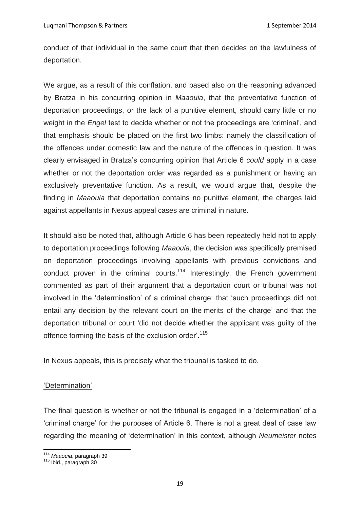conduct of that individual in the same court that then decides on the lawfulness of deportation.

We argue, as a result of this conflation, and based also on the reasoning advanced by Bratza in his concurring opinion in *Maaouia*, that the preventative function of deportation proceedings, or the lack of a punitive element, should carry little or no weight in the *Engel* test to decide whether or not the proceedings are 'criminal', and that emphasis should be placed on the first two limbs: namely the classification of the offences under domestic law and the nature of the offences in question. It was clearly envisaged in Bratza's concurring opinion that Article 6 *could* apply in a case whether or not the deportation order was regarded as a punishment or having an exclusively preventative function. As a result, we would argue that, despite the finding in *Maaouia* that deportation contains no punitive element, the charges laid against appellants in Nexus appeal cases are criminal in nature.

It should also be noted that, although Article 6 has been repeatedly held not to apply to deportation proceedings following *Maaouia*, the decision was specifically premised on deportation proceedings involving appellants with previous convictions and conduct proven in the criminal courts.<sup>114</sup> Interestingly, the French government commented as part of their argument that a deportation court or tribunal was not involved in the 'determination' of a criminal charge: that 'such proceedings did not entail any decision by the relevant court on the merits of the charge' and that the deportation tribunal or court 'did not decide whether the applicant was guilty of the offence forming the basis of the exclusion order<sup>'.115</sup>

In Nexus appeals, this is precisely what the tribunal is tasked to do.

### 'Determination'

The final question is whether or not the tribunal is engaged in a 'determination' of a 'criminal charge' for the purposes of Article 6. There is not a great deal of case law regarding the meaning of 'determination' in this context, although *Neumeister* notes

**<sup>.</sup>** <sup>114</sup> *Maaouia*, paragraph 39

<sup>115</sup> Ibid., paragraph 30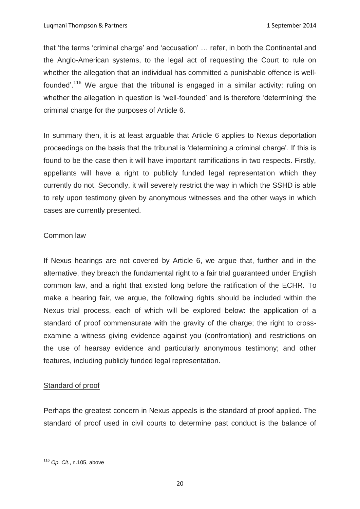that 'the terms 'criminal charge' and 'accusation' … refer, in both the Continental and the Anglo-American systems, to the legal act of requesting the Court to rule on whether the allegation that an individual has committed a punishable offence is wellfounded'.<sup>116</sup> We argue that the tribunal is engaged in a similar activity: ruling on whether the allegation in question is 'well-founded' and is therefore 'determining' the criminal charge for the purposes of Article 6.

In summary then, it is at least arguable that Article 6 applies to Nexus deportation proceedings on the basis that the tribunal is 'determining a criminal charge'. If this is found to be the case then it will have important ramifications in two respects. Firstly, appellants will have a right to publicly funded legal representation which they currently do not. Secondly, it will severely restrict the way in which the SSHD is able to rely upon testimony given by anonymous witnesses and the other ways in which cases are currently presented.

### Common law

If Nexus hearings are not covered by Article 6, we argue that, further and in the alternative, they breach the fundamental right to a fair trial guaranteed under English common law, and a right that existed long before the ratification of the ECHR. To make a hearing fair, we argue, the following rights should be included within the Nexus trial process, each of which will be explored below: the application of a standard of proof commensurate with the gravity of the charge; the right to crossexamine a witness giving evidence against you (confrontation) and restrictions on the use of hearsay evidence and particularly anonymous testimony; and other features, including publicly funded legal representation.

### Standard of proof

Perhaps the greatest concern in Nexus appeals is the standard of proof applied. The standard of proof used in civil courts to determine past conduct is the balance of

**<sup>.</sup>** <sup>116</sup> *Op. Cit.*, n.105, above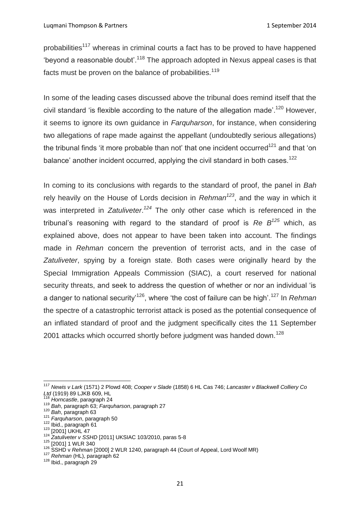probabilities<sup>117</sup> whereas in criminal courts a fact has to be proved to have happened 'beyond a reasonable doubt'.<sup>118</sup> The approach adopted in Nexus appeal cases is that facts must be proven on the balance of probabilities.<sup>119</sup>

In some of the leading cases discussed above the tribunal does remind itself that the civil standard 'is flexible according to the nature of the allegation made'.<sup>120</sup> However, it seems to ignore its own guidance in *Farquharson*, for instance, when considering two allegations of rape made against the appellant (undoubtedly serious allegations) the tribunal finds 'it more probable than not' that one incident occurred<sup>121</sup> and that 'on balance' another incident occurred, applying the civil standard in both cases.<sup>122</sup>

In coming to its conclusions with regards to the standard of proof, the panel in *Bah*  rely heavily on the House of Lords decision in *Rehman<sup>123</sup>*, and the way in which it was interpreted in *Zatuliveter*. *<sup>124</sup>* The only other case which is referenced in the tribunal's reasoning with regard to the standard of proof is *Re B<sup>125</sup>* which, as explained above, does not appear to have been taken into account. The findings made in *Rehman* concern the prevention of terrorist acts, and in the case of *Zatuliveter*, spying by a foreign state. Both cases were originally heard by the Special Immigration Appeals Commission (SIAC), a court reserved for national security threats, and seek to address the question of whether or nor an individual 'is a danger to national security'<sup>126</sup>, where 'the cost of failure can be high'.<sup>127</sup> In *Rehman*  the spectre of a catastrophic terrorist attack is posed as the potential consequence of an inflated standard of proof and the judgment specifically cites the 11 September 2001 attacks which occurred shortly before judgment was handed down.<sup>128</sup>

<sup>117</sup> *Newis v Lark* (1571) 2 Plowd 408; *Cooper v Slade* (1858) 6 HL Cas 746; *Lancaster v Blackwell Colliery Co Ltd* (1919) 89 LJKB 609, HL

<sup>118</sup> *Horncastle*, paragraph 24

<sup>119</sup> *Bah*, paragraph 63; *Farquharson*, paragraph 27

<sup>120</sup> *Bah*, paragraph 63

<sup>121</sup> *Farquharson*, paragraph 50

<sup>122</sup> Ibid., paragraph 61 <sup>123</sup> [2001] UKHL 47

<sup>124</sup> *Zatuliveter v SSHD* [2011] UKSIAC 103/2010, paras 5-8

<sup>125 [2001] 1</sup> WLR 340

<sup>126</sup> SSHD v *Rehman* [2000] 2 WLR 1240, paragraph 44 (Court of Appeal, Lord Woolf MR)

<sup>127</sup> *Rehman* (HL), paragraph 62

<sup>128</sup> Ibid., paragraph 29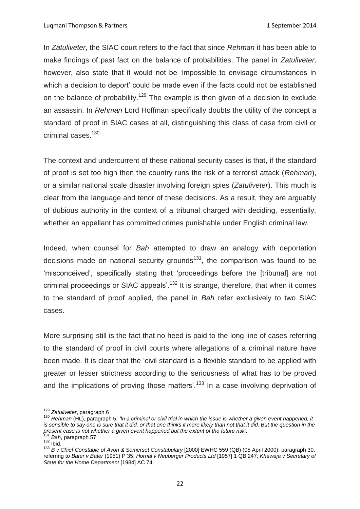In *Zatuliveter*, the SIAC court refers to the fact that since *Rehman* it has been able to make findings of past fact on the balance of probabilities. The panel in *Zatuliveter,*  however, also state that it would not be 'impossible to envisage circumstances in which a decision to deport' could be made even if the facts could not be established on the balance of probability.<sup>129</sup> The example is then given of a decision to exclude an assassin. In *Rehman* Lord Hoffman specifically doubts the utility of the concept a standard of proof in SIAC cases at all, distinguishing this class of case from civil or criminal cases.<sup>130</sup>

The context and undercurrent of these national security cases is that, if the standard of proof is set too high then the country runs the risk of a terrorist attack (*Rehman*), or a similar national scale disaster involving foreign spies (*Zatuliveter*). This much is clear from the language and tenor of these decisions. As a result, they are arguably of dubious authority in the context of a tribunal charged with deciding, essentially, whether an appellant has committed crimes punishable under English criminal law.

Indeed, when counsel for *Bah* attempted to draw an analogy with deportation decisions made on national security grounds<sup>131</sup>, the comparison was found to be 'misconceived', specifically stating that 'proceedings before the [tribunal] are not criminal proceedings or SIAC appeals'.<sup>132</sup> It is strange, therefore, that when it comes to the standard of proof applied, the panel in *Bah* refer exclusively to two SIAC cases.

More surprising still is the fact that no heed is paid to the long line of cases referring to the standard of proof in civil courts where allegations of a criminal nature have been made. It is clear that the 'civil standard is a flexible standard to be applied with greater or lesser strictness according to the seriousness of what has to be proved and the implications of proving those matters'.<sup>133</sup> In a case involving deprivation of

<sup>131</sup> *Bah*, paragraph 57  $132$  lbid.

<sup>129</sup> *Zatuliveter*, paragraph 6

<sup>130</sup> *Rehman* (HL), paragraph 5*: 'In a criminal or civil trial in which the issue is whether a given event happened, it*  is sensible to say one is sure that it did, or that one thinks it more likely than not that it did. But the question in the *present case is not whether a given event happened but the extent of the future risk'.*

<sup>133</sup> *B v Chief Constable of Avon & Somerset Constabulary* [2000] EWHC 559 (QB) (05 April 2000), paragraph 30, referring to *Bater v Bater* (1951) P 35; *Hornal v Neuberger Products Ltd* [1957] 1 QB 247; *Khawaja v Secretary of State for the Home Department* [1984] AC 74.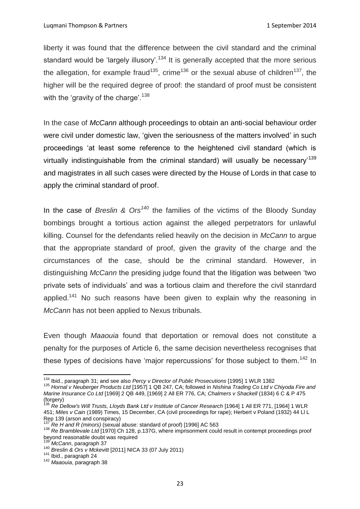liberty it was found that the difference between the civil standard and the criminal standard would be 'largely illusory'.<sup>134</sup> It is generally accepted that the more serious the allegation, for example fraud<sup>135</sup>, crime<sup>136</sup> or the sexual abuse of children<sup>137</sup>, the higher will be the required degree of proof: the standard of proof must be consistent with the 'gravity of the charge'.<sup>138</sup>

In the case of *McCann* although proceedings to obtain an anti-social behaviour order were civil under domestic law, 'given the seriousness of the matters involved' in such proceedings 'at least some reference to the heightened civil standard (which is virtually indistinguishable from the criminal standard) will usually be necessary<sup>139</sup> and magistrates in all such cases were directed by the House of Lords in that case to apply the criminal standard of proof.

In the case of *Breslin & Ors<sup>140</sup>* the families of the victims of the Bloody Sunday bombings brought a tortious action against the alleged perpetrators for unlawful killing. Counsel for the defendants relied heavily on the decision in *McCann* to argue that the appropriate standard of proof, given the gravity of the charge and the circumstances of the case, should be the criminal standard. However, in distinguishing *McCann* the presiding judge found that the litigation was between 'two private sets of individuals' and was a tortious claim and therefore the civil stanrdard applied.<sup>141</sup> No such reasons have been given to explain why the reasoning in *McCann* has not been applied to Nexus tribunals.

Even though *Maaouia* found that deportation or removal does not constitute a penalty for the purposes of Article 6, the same decision nevertheless recognises that these types of decisions have 'major repercussions' for those subject to them.<sup>142</sup> In

 $\overline{\phantom{a}}$ 

<sup>134</sup> Ibid., paragraph 31; and see also *Percy v Director of Public Prosecutions* [1995] 1 WLR 1382

<sup>135</sup> *Hornal v Neuberger Products Ltd* [1957] 1 QB 247, CA; followed in *Nishina Trading Co Ltd v Chiyoda Fire and Marine Insurance Co Ltd* [1969] 2 QB 449, [1969] 2 All ER 776, CA; *Chalmers v Shackell* (1834) 6 C & P 475 (forgery)

<sup>136</sup> *Re Dellow's Will Trusts, Lloyds Bank Ltd v Institute of Cancer Research* [1964] 1 All ER 771, [1964] 1 WLR 451; *Miles v Cain* (1989) Times, 15 December, CA (civil proceedings for rape); Herbert v Poland (1932) 44 Ll L Rep 139 (arson and conspiracy)

<sup>137</sup> *Re H and R (minors)* (sexual abuse: standard of proof) [1996] AC 563

<sup>138</sup> *Re Bramblevale Ltd* [1970] Ch 128, p.137G, where imprisonment could result in contempt proceedings proof beyond reasonable doubt was required

<sup>139</sup> *McCann*, paragraph 37

<sup>140</sup> *Breslin & Ors v Mckevitt* [2011] NICA 33 (07 July 2011)

<sup>&</sup>lt;sup>141</sup> Ibid., paragraph 24

<sup>142</sup> *Maaouia*, paragraph 38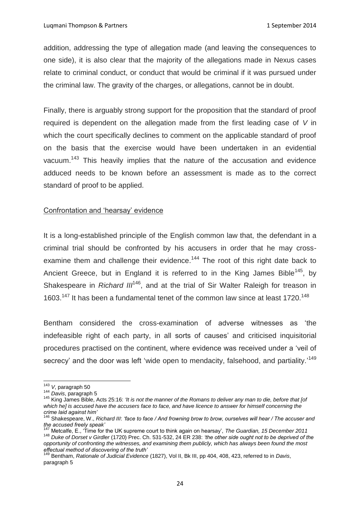addition, addressing the type of allegation made (and leaving the consequences to one side), it is also clear that the majority of the allegations made in Nexus cases relate to criminal conduct, or conduct that would be criminal if it was pursued under the criminal law. The gravity of the charges, or allegations, cannot be in doubt.

Finally, there is arguably strong support for the proposition that the standard of proof required is dependent on the allegation made from the first leading case of *V* in which the court specifically declines to comment on the applicable standard of proof on the basis that the exercise would have been undertaken in an evidential vacuum.<sup>143</sup> This heavily implies that the nature of the accusation and evidence adduced needs to be known before an assessment is made as to the correct standard of proof to be applied.

### Confrontation and 'hearsay' evidence

It is a long-established principle of the English common law that, the defendant in a criminal trial should be confronted by his accusers in order that he may crossexamine them and challenge their evidence.<sup>144</sup> The root of this right date back to Ancient Greece, but in England it is referred to in the King James Bible<sup>145</sup>. bv Shakespeare in *Richard III<sup>146</sup>*, and at the trial of Sir Walter Raleigh for treason in 1603.<sup>147</sup> It has been a fundamental tenet of the common law since at least 1720.<sup>148</sup>

Bentham considered the cross-examination of adverse witnesses as 'the indefeasible right of each party, in all sorts of causes' and criticised inquisitorial procedures practised on the continent, where evidence was received under a 'veil of secrecy' and the door was left 'wide open to mendacity, falsehood, and partiality.'<sup>149</sup>

<sup>143</sup> *V*, paragraph 50

<sup>144</sup> *Davis*, paragraph 5

<sup>145</sup> King James Bible, Acts 25:16: *'It is not the manner of the Romans to deliver any man to die, before that [of which he] is accused have the accusers face to face, and have licence to answer for himself concerning the crime laid against him'*

<sup>146</sup> Shakespeare, W., *Richard III*: *'face to face / And frowning brow to brow, ourselves will hear / The accuser and the accused freely speak'*

<sup>147</sup> Metcalfe, E., 'Time for the UK supreme court to think again on hearsay', *The Guardian, 15 December 2011* <sup>148</sup> *Duke of Dorset v Girdler* (1720) Prec. Ch. 531-532, 24 ER 238: *'the other side ought not to be deprived of the opportunity of confronting the witnesses, and examining them publicly, which has always been found the most effectual method of discovering of the truth'*

<sup>149</sup> Bentham, *Rationale of Judicial Evidence* (1827), Vol II, Bk III, pp 404, 408, 423, referred to in *Davis*, paragraph 5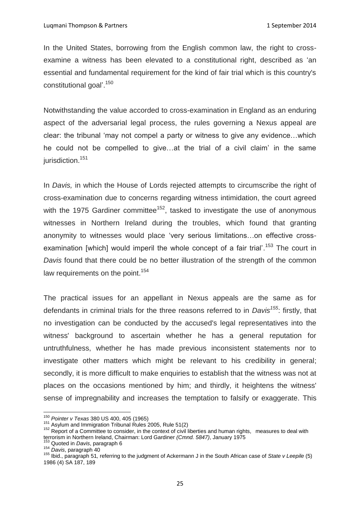In the United States, borrowing from the English common law, the right to crossexamine a witness has been elevated to a constitutional right, described as 'an essential and fundamental requirement for the kind of fair trial which is this country's constitutional goal'.<sup>150</sup>

Notwithstanding the value accorded to cross-examination in England as an enduring aspect of the adversarial legal process, the rules governing a Nexus appeal are clear: the tribunal 'may not compel a party or witness to give any evidence…which he could not be compelled to give…at the trial of a civil claim' in the same jurisdiction.<sup>151</sup>

In *Davis,* in which the House of Lords rejected attempts to circumscribe the right of cross-examination due to concerns regarding witness intimidation, the court agreed with the 1975 Gardiner committee<sup>152</sup>, tasked to investigate the use of anonymous witnesses in Northern Ireland during the troubles, which found that granting anonymity to witnesses would place 'very serious limitations…on effective crossexamination [which] would imperil the whole concept of a fair trial'.<sup>153</sup> The court in *Davis* found that there could be no better illustration of the strength of the common law requirements on the point.<sup>154</sup>

The practical issues for an appellant in Nexus appeals are the same as for defendants in criminal trials for the three reasons referred to in *Davis<sup>155</sup>*: firstly, that no investigation can be conducted by the accused's legal representatives into the witness' background to ascertain whether he has a general reputation for untruthfulness, whether he has made previous inconsistent statements nor to investigate other matters which might be relevant to his credibility in general; secondly, it is more difficult to make enquiries to establish that the witness was not at places on the occasions mentioned by him; and thirdly, it heightens the witness' sense of impregnability and increases the temptation to falsify or exaggerate. This

<sup>150</sup> *Pointer v Texas* 380 US 400, 405 (1965)

 $^{151}$  Asylum and Immigration Tribunal Rules 2005, Rule 51(2)

<sup>152</sup> Report of a Committee to consider, in the context of civil liberties and human rights, measures to deal with terrorism in Northern Ireland, Chairman: Lord Gardiner *(Cmnd. 5847)*, January 1975

<sup>153</sup> Quoted in *Davis*, paragraph 6

<sup>154</sup> *Davis*, paragraph 40

<sup>155</sup> Ibid., paragraph 51*,* referring to the judgment of Ackermann J in the South African case of *State v Leepile* (5) 1986 (4) SA 187, 189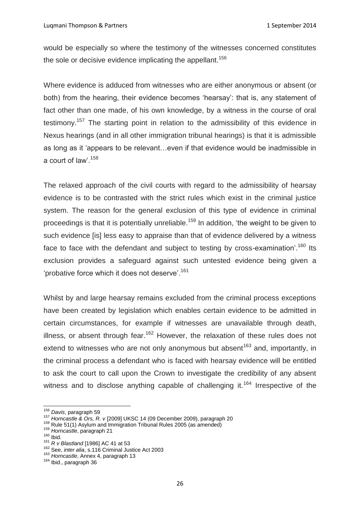would be especially so where the testimony of the witnesses concerned constitutes the sole or decisive evidence implicating the appellant.<sup>156</sup>

Where evidence is adduced from witnesses who are either anonymous or absent (or both) from the hearing, their evidence becomes 'hearsay': that is, any statement of fact other than one made, of his own knowledge, by a witness in the course of oral testimony.<sup>157</sup> The starting point in relation to the admissibility of this evidence in Nexus hearings (and in all other immigration tribunal hearings) is that it is admissible as long as it 'appears to be relevant…even if that evidence would be inadmissible in a court of law'.<sup>158</sup>

The relaxed approach of the civil courts with regard to the admissibility of hearsay evidence is to be contrasted with the strict rules which exist in the criminal justice system. The reason for the general exclusion of this type of evidence in criminal proceedings is that it is potentially unreliable.<sup>159</sup> In addition, 'the weight to be given to such evidence [is] less easy to appraise than that of evidence delivered by a witness face to face with the defendant and subject to testing by cross-examination<sup>'.160</sup> Its exclusion provides a safeguard against such untested evidence being given a 'probative force which it does not deserve'.<sup>161</sup>

Whilst by and large hearsay remains excluded from the criminal process exceptions have been created by legislation which enables certain evidence to be admitted in certain circumstances, for example if witnesses are unavailable through death, illness, or absent through fear.<sup>162</sup> However, the relaxation of these rules does not extend to witnesses who are not only anonymous but absent<sup>163</sup> and, importantly, in the criminal process a defendant who is faced with hearsay evidence will be entitled to ask the court to call upon the Crown to investigate the credibility of any absent witness and to disclose anything capable of challenging it.<sup>164</sup> Irrespective of the

<sup>156</sup> *Davis*, paragraph 59

<sup>157</sup> *Horncastle & Ors, R. v* [2009] UKSC 14 (09 December 2009), paragraph 20

<sup>158</sup> Rule 51(1) Asylum and Immigration Tribunal Rules 2005 (as amended)

<sup>159</sup> *Horncastle*, paragraph 21

 $160$  Ibid.

<sup>161</sup> *R v Blastland* [1986] AC 41 at 53

<sup>162</sup> See, *inter alia*, s.116 Criminal Justice Act 2003

<sup>163</sup> *Horncastle*, Annex 4, paragraph 13

<sup>164</sup> Ibid., paragraph 36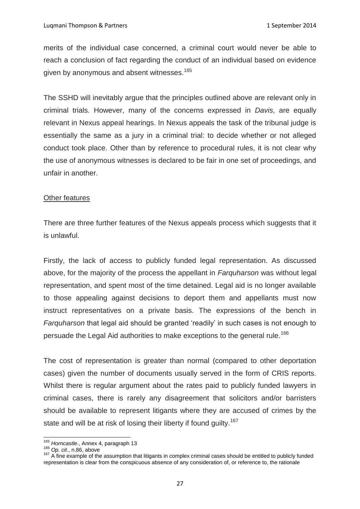merits of the individual case concerned, a criminal court would never be able to reach a conclusion of fact regarding the conduct of an individual based on evidence given by anonymous and absent witnesses.<sup>165</sup>

The SSHD will inevitably argue that the principles outlined above are relevant only in criminal trials. However, many of the concerns expressed in *Davis*, are equally relevant in Nexus appeal hearings. In Nexus appeals the task of the tribunal judge is essentially the same as a jury in a criminal trial: to decide whether or not alleged conduct took place. Other than by reference to procedural rules, it is not clear why the use of anonymous witnesses is declared to be fair in one set of proceedings, and unfair in another.

### Other features

There are three further features of the Nexus appeals process which suggests that it is unlawful.

Firstly, the lack of access to publicly funded legal representation. As discussed above, for the majority of the process the appellant in *Farquharson* was without legal representation, and spent most of the time detained. Legal aid is no longer available to those appealing against decisions to deport them and appellants must now instruct representatives on a private basis. The expressions of the bench in *Farquharson* that legal aid should be granted 'readily' in such cases is not enough to persuade the Legal Aid authorities to make exceptions to the general rule.<sup>166</sup>

The cost of representation is greater than normal (compared to other deportation cases) given the number of documents usually served in the form of CRIS reports. Whilst there is regular argument about the rates paid to publicly funded lawyers in criminal cases, there is rarely any disagreement that solicitors and/or barristers should be available to represent litigants where they are accused of crimes by the state and will be at risk of losing their liberty if found guilty.<sup>167</sup>

<sup>165</sup> *Horncastle*., Annex 4, paragraph 13

<sup>166</sup> *Op. cit*., n.86, above

<sup>&</sup>lt;sup>167</sup> A fine example of the assumption that litigants in complex criminal cases should be entitled to publicly funded representation is clear from the conspicuous absence of any consideration of, or reference to, the rationale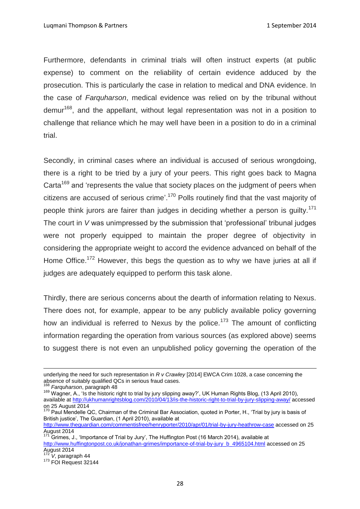Furthermore, defendants in criminal trials will often instruct experts (at public expense) to comment on the reliability of certain evidence adduced by the prosecution. This is particularly the case in relation to medical and DNA evidence. In the case of *Farquharson*, medical evidence was relied on by the tribunal without demur<sup>168</sup>, and the appellant, without legal representation was not in a position to challenge that reliance which he may well have been in a position to do in a criminal trial.

Secondly, in criminal cases where an individual is accused of serious wrongdoing, there is a right to be tried by a jury of your peers. This right goes back to Magna Carta<sup>169</sup> and 'represents the value that society places on the judgment of peers when citizens are accused of serious crime'.<sup>170</sup> Polls routinely find that the vast majority of people think jurors are fairer than judges in deciding whether a person is quilty.<sup>171</sup> The court in *V* was unimpressed by the submission that 'professional' tribunal judges were not properly equipped to maintain the proper degree of objectivity in considering the appropriate weight to accord the evidence advanced on behalf of the Home Office.<sup>172</sup> However, this begs the question as to why we have juries at all if judges are adequately equipped to perform this task alone.

Thirdly, there are serious concerns about the dearth of information relating to Nexus. There does not, for example, appear to be any publicly available policy governing how an individual is referred to Nexus by the police.<sup>173</sup> The amount of conflicting information regarding the operation from various sources (as explored above) seems to suggest there is not even an unpublished policy governing the operation of the

<sup>169</sup> Wagner, A., 'Is the historic right to trial by jury slipping away?', UK Human Rights Blog, (13 April 2010), available at<http://ukhumanrightsblog.com/2010/04/13/is-the-historic-right-to-trial-by-jury-slipping-away/> accessed on 25 August 2014

underlying the need for such representation in *R v Crawley* [2014] EWCA Crim 1028, a case concerning the absence of suitably qualified QCs in serious fraud cases.

<sup>168</sup> *Farquharson*, paragraph 48

 $170$  Paul Mendelle QC, Chairman of the Criminal Bar Association, quoted in Porter, H., 'Trial by jury is basis of British justice', The Guardian, (1 April 2010), available at

<http://www.theguardian.com/commentisfree/henryporter/2010/apr/01/trial-by-jury-heathrow-case> accessed on 25 August 2014

 $171$  Grimes, J., 'Importance of Trial by Jury', The Huffington Post (16 March 2014), available at [http://www.huffingtonpost.co.uk/jonathan-grimes/importance-of-trial-by-jury\\_b\\_4965104.html](http://www.huffingtonpost.co.uk/jonathan-grimes/importance-of-trial-by-jury_b_4965104.html) accessed on 25  $\frac{1.11 \times 100 \times 100}{472}$ 

 $V$ , paragraph 44

<sup>173</sup> FOI Request 32144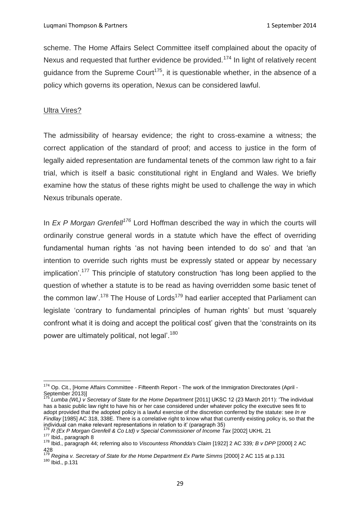scheme. The Home Affairs Select Committee itself complained about the opacity of Nexus and requested that further evidence be provided.<sup>174</sup> In light of relatively recent guidance from the Supreme Court<sup>175</sup>, it is questionable whether, in the absence of a policy which governs its operation, Nexus can be considered lawful.

### Ultra Vires?

The admissibility of hearsay evidence; the right to cross-examine a witness; the correct application of the standard of proof; and access to justice in the form of legally aided representation are fundamental tenets of the common law right to a fair trial, which is itself a basic constitutional right in England and Wales. We briefly examine how the status of these rights might be used to challenge the way in which Nexus tribunals operate.

In *Ex P Morgan Grenfell<sup>176</sup>* Lord Hoffman described the way in which the courts will ordinarily construe general words in a statute which have the effect of overriding fundamental human rights 'as not having been intended to do so' and that 'an intention to override such rights must be expressly stated or appear by necessary implication'.<sup>177</sup> This principle of statutory construction 'has long been applied to the question of whether a statute is to be read as having overridden some basic tenet of the common law'.<sup>178</sup> The House of Lords<sup>179</sup> had earlier accepted that Parliament can legislate 'contrary to fundamental principles of human rights' but must 'squarely confront what it is doing and accept the political cost' given that the 'constraints on its power are ultimately political, not legal'.<sup>180</sup>

 $\overline{a}$ <sup>174</sup> Op. Cit., [Home Affairs Committee - Fifteenth Report - The work of the Immigration Directorates (April -September 2013)]

<sup>175</sup> *Lumba (WL) v Secretary of State for the Home Department* [2011] UKSC 12 (23 March 2011): 'The individual has a basic public law right to have his or her case considered under whatever policy the executive sees fit to adopt provided that the adopted policy is a lawful exercise of the discretion conferred by the statute: see *In re Findlay* [1985] AC 318, 338E. There is a correlative right to know what that currently existing policy is, so that the individual can make relevant representations in relation to it' (paragraph 35)

<sup>176</sup> *R (Ex P Morgan Grenfell & Co Ltd) v Special Commissioner of Income Tax* [2002] UKHL 21  $177$  Ibid., paragraph 8

<sup>178</sup> Ibid., paragraph 44; referring also to *Viscountess Rhondda's Claim* [1922] 2 AC 339*; B v DPP* [2000] 2 AC  $428$ 

<sup>179</sup> *Regina v. Secretary of State for the Home Department Ex Parte Simms* [2000] 2 AC 115 at p.131

 $180$  Nogume 180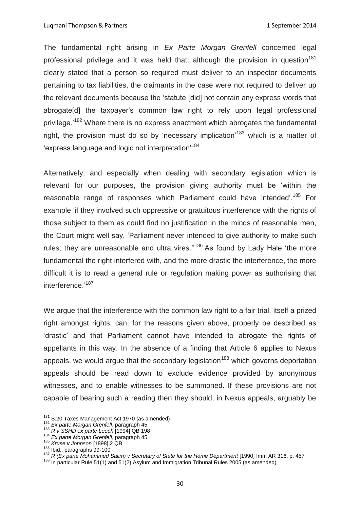The fundamental right arising in *Ex Parte Morgan Grenfell* concerned legal professional privilege and it was held that, although the provision in question<sup>181</sup> clearly stated that a person so required must deliver to an inspector documents pertaining to tax liabilities, the claimants in the case were not required to deliver up the relevant documents because the 'statute [did] not contain any express words that abrogate[d] the taxpayer's common law right to rely upon legal professional privilege.<sup>'182</sup> Where there is no express enactment which abrogates the fundamental right, the provision must do so by 'necessary implication'<sup>183</sup> which is a matter of 'express language and logic not interpretation<sup>'184</sup>

Alternatively, and especially when dealing with secondary legislation which is relevant for our purposes, the provision giving authority must be 'within the reasonable range of responses which Parliament could have intended'.<sup>185</sup> For example 'if they involved such oppressive or gratuitous interference with the rights of those subject to them as could find no justification in the minds of reasonable men, the Court might well say, 'Parliament never intended to give authority to make such rules; they are unreasonable and ultra vires."<sup>186</sup> As found by Lady Hale 'the more fundamental the right interfered with, and the more drastic the interference, the more difficult it is to read a general rule or regulation making power as authorising that interference.'<sup>187</sup>

We argue that the interference with the common law right to a fair trial, itself a prized right amongst rights, can, for the reasons given above, properly be described as 'drastic' and that Parliament cannot have intended to abrogate the rights of appellants in this way. In the absence of a finding that Article 6 applies to Nexus appeals, we would argue that the secondary legislation<sup>188</sup> which governs deportation appeals should be read down to exclude evidence provided by anonymous witnesses, and to enable witnesses to be summoned. If these provisions are not capable of bearing such a reading then they should, in Nexus appeals, arguably be

<sup>&</sup>lt;sup>181</sup> S.20 Taxes Management Act 1970 (as amended)

<sup>182</sup> *Ex parte Morgan Grenfell*, paragraph 45

<sup>183</sup> *R v SSHD ex parte Leech* [1994] QB 198

<sup>184</sup> *Ex parte Morgan Grenfell*, paragraph 45

<sup>185</sup> *Kruse v Johnson* [1898] 2 QB

<sup>186</sup> Ibid., paragraphs 99-100

<sup>187</sup> *R (Ex parte Mohammed Salim) v Secretary of State for the Home Department* [1990] Imm AR 316, p. 457

<sup>188</sup> In particular Rule 51(1) and 51(2) Asylum and Immigration Tribunal Rules 2005 (as amended)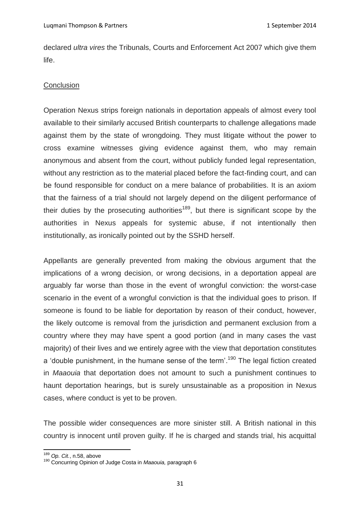declared *ultra vires* the Tribunals, Courts and Enforcement Act 2007 which give them life.

## **Conclusion**

Operation Nexus strips foreign nationals in deportation appeals of almost every tool available to their similarly accused British counterparts to challenge allegations made against them by the state of wrongdoing. They must litigate without the power to cross examine witnesses giving evidence against them, who may remain anonymous and absent from the court, without publicly funded legal representation, without any restriction as to the material placed before the fact-finding court, and can be found responsible for conduct on a mere balance of probabilities. It is an axiom that the fairness of a trial should not largely depend on the diligent performance of their duties by the prosecuting authorities<sup>189</sup>, but there is significant scope by the authorities in Nexus appeals for systemic abuse, if not intentionally then institutionally, as ironically pointed out by the SSHD herself.

Appellants are generally prevented from making the obvious argument that the implications of a wrong decision, or wrong decisions, in a deportation appeal are arguably far worse than those in the event of wrongful conviction: the worst-case scenario in the event of a wrongful conviction is that the individual goes to prison. If someone is found to be liable for deportation by reason of their conduct, however, the likely outcome is removal from the jurisdiction and permanent exclusion from a country where they may have spent a good portion (and in many cases the vast majority) of their lives and we entirely agree with the view that deportation constitutes a 'double punishment, in the humane sense of the term'.<sup>190</sup> The legal fiction created in *Maaouia* that deportation does not amount to such a punishment continues to haunt deportation hearings, but is surely unsustainable as a proposition in Nexus cases, where conduct is yet to be proven.

The possible wider consequences are more sinister still. A British national in this country is innocent until proven guilty. If he is charged and stands trial, his acquittal

**<sup>.</sup>** <sup>189</sup> *Op. Cit.*, n.58, above

<sup>190</sup> Concurring Opinion of Judge Costa in *Maaouia,* paragraph 6